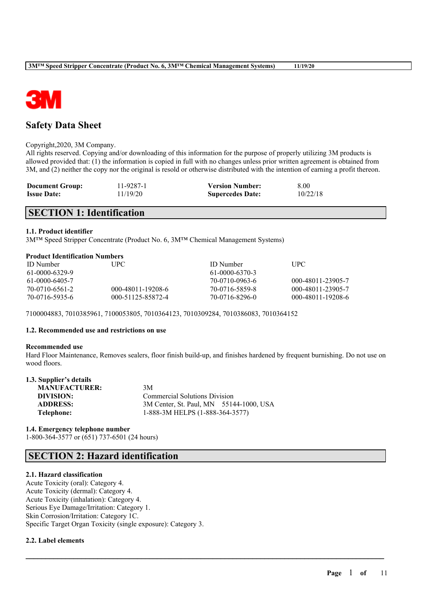

# **Safety Data Sheet**

#### Copyright,2020, 3M Company.

All rights reserved. Copying and/or downloading of this information for the purpose of properly utilizing 3M products is allowed provided that: (1) the information is copied in full with no changes unless prior written agreement is obtained from 3M, and (2) neither the copy nor the original is resold or otherwise distributed with the intention of earning a profit thereon.

| <b>Document Group:</b> | 11-9287-1 | <b>Version Number:</b>  | 8.00     |
|------------------------|-----------|-------------------------|----------|
| <b>Issue Date:</b>     | 11/19/20  | <b>Supercedes Date:</b> | 10/22/18 |

# **SECTION 1: Identification**

### **1.1. Product identifier**

3M™ Speed Stripper Concentrate (Product No. 6, 3M™ Chemical Management Systems)

### **Product Identification Numbers**

| <b>ID</b> Number | UPC.              | ID Number      | UPC.              |
|------------------|-------------------|----------------|-------------------|
| 61-0000-6329-9   |                   | 61-0000-6370-3 |                   |
| 61-0000-6405-7   |                   | 70-0710-0963-6 | 000-48011-23905-7 |
| 70-0710-6561-2   | 000-48011-19208-6 | 70-0716-5859-8 | 000-48011-23905-7 |
| 70-0716-5935-6   | 000-51125-85872-4 | 70-0716-8296-0 | 000-48011-19208-6 |

7100004883, 7010385961, 7100053805, 7010364123, 7010309284, 7010386083, 7010364152

#### **1.2. Recommended use and restrictions on use**

#### **Recommended use**

Hard Floor Maintenance, Removes sealers, floor finish build-up, and finishes hardened by frequent burnishing. Do not use on wood floors.

 $\mathcal{L}_\mathcal{L} = \mathcal{L}_\mathcal{L} = \mathcal{L}_\mathcal{L} = \mathcal{L}_\mathcal{L} = \mathcal{L}_\mathcal{L} = \mathcal{L}_\mathcal{L} = \mathcal{L}_\mathcal{L} = \mathcal{L}_\mathcal{L} = \mathcal{L}_\mathcal{L} = \mathcal{L}_\mathcal{L} = \mathcal{L}_\mathcal{L} = \mathcal{L}_\mathcal{L} = \mathcal{L}_\mathcal{L} = \mathcal{L}_\mathcal{L} = \mathcal{L}_\mathcal{L} = \mathcal{L}_\mathcal{L} = \mathcal{L}_\mathcal{L}$ 

| 1.3. Supplier's details |                                         |
|-------------------------|-----------------------------------------|
| <b>MANUFACTURER:</b>    | 3M                                      |
| DIVISION:               | <b>Commercial Solutions Division</b>    |
| <b>ADDRESS:</b>         | 3M Center, St. Paul, MN 55144-1000, USA |
| Telephone:              | 1-888-3M HELPS (1-888-364-3577)         |

### **1.4. Emergency telephone number** 1-800-364-3577 or (651) 737-6501 (24 hours)

# **SECTION 2: Hazard identification**

### **2.1. Hazard classification**

Acute Toxicity (oral): Category 4. Acute Toxicity (dermal): Category 4. Acute Toxicity (inhalation): Category 4. Serious Eye Damage/Irritation: Category 1. Skin Corrosion/Irritation: Category 1C. Specific Target Organ Toxicity (single exposure): Category 3.

### **2.2. Label elements**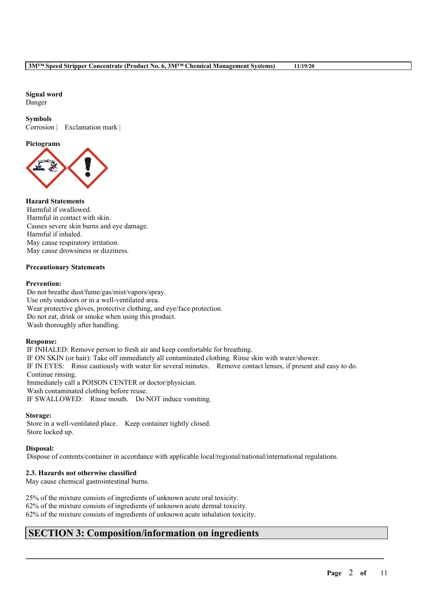**Signal word**

Danger

### **Symbols**

Corrosion | Exclamation mark |

# **Pictograms**



# **Hazard Statements**

Harmful if swallowed. Harmful in contact with skin. Causes severe skin burns and eye damage. Harmful if inhaled. May cause respiratory irritation. May cause drowsiness or dizziness.

### **Precautionary Statements**

### **Prevention:**

Do not breathe dust/fume/gas/mist/vapors/spray. Use only outdoors or in a well-ventilated area. Wear protective gloves, protective clothing, and eye/face protection. Do not eat, drink or smoke when using this product. Wash thoroughly after handling.

### **Response:**

IF INHALED: Remove person to fresh air and keep comfortable for breathing. IF ON SKIN (or hair): Take off immediately all contaminated clothing. Rinse skin with water/shower. IF IN EYES: Rinse cautiously with water for several minutes. Remove contact lenses, if present and easy to do. Continue rinsing. Immediately call a POISON CENTER or doctor/physician. Wash contaminated clothing before reuse. IF SWALLOWED: Rinse mouth. Do NOT induce vomiting.

### **Storage:**

Store in a well-ventilated place. Keep container tightly closed. Store locked up.

# **Disposal:**

Dispose of contents/container in accordance with applicable local/regional/national/international regulations.

 $\mathcal{L}_\mathcal{L} = \mathcal{L}_\mathcal{L} = \mathcal{L}_\mathcal{L} = \mathcal{L}_\mathcal{L} = \mathcal{L}_\mathcal{L} = \mathcal{L}_\mathcal{L} = \mathcal{L}_\mathcal{L} = \mathcal{L}_\mathcal{L} = \mathcal{L}_\mathcal{L} = \mathcal{L}_\mathcal{L} = \mathcal{L}_\mathcal{L} = \mathcal{L}_\mathcal{L} = \mathcal{L}_\mathcal{L} = \mathcal{L}_\mathcal{L} = \mathcal{L}_\mathcal{L} = \mathcal{L}_\mathcal{L} = \mathcal{L}_\mathcal{L}$ 

# **2.3. Hazards not otherwise classified**

May cause chemical gastrointestinal burns.

25% of the mixture consists of ingredients of unknown acute oral toxicity. 62% of the mixture consists of ingredients of unknown acute dermal toxicity. 62% of the mixture consists of ingredients of unknown acute inhalation toxicity.

# **SECTION 3: Composition/information on ingredients**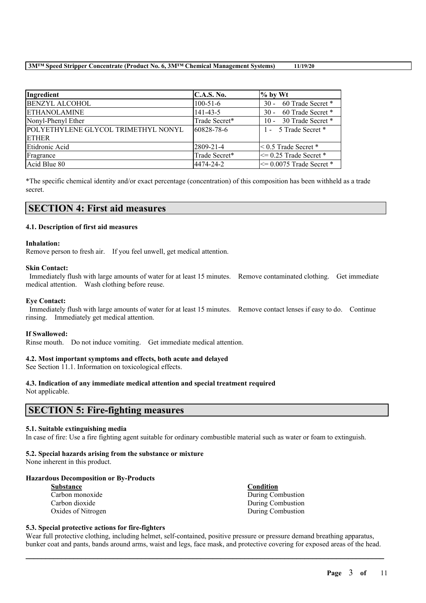| Ingredient                          | <b>C.A.S. No.</b> | $\%$ by Wt                   |
|-------------------------------------|-------------------|------------------------------|
| <b>BENZYL ALCOHOL</b>               | $100-51-6$        | 30 - 60 Trade Secret *       |
| <b>ETHANOLAMINE</b>                 | $141 - 43 - 5$    | 30 - 60 Trade Secret *       |
| Nonyl-Phenyl Ether                  | Trade Secret*     | 10 - 30 Trade Secret *       |
| POLYETHYLENE GLYCOL TRIMETHYL NONYL | 60828-78-6        | 1 - 5 Trade Secret *         |
| <b>ETHER</b>                        |                   |                              |
| Etidronic Acid                      | 2809-21-4         | $\leq 0.5$ Trade Secret $*$  |
| Fragrance                           | Trade Secret*     | $\leq$ 0.25 Trade Secret *   |
| Acid Blue 80                        | 4474-24-2         | $\leq$ 0.0075 Trade Secret * |

\*The specific chemical identity and/or exact percentage (concentration) of this composition has been withheld as a trade secret.

# **SECTION 4: First aid measures**

### **4.1. Description of first aid measures**

### **Inhalation:**

Remove person to fresh air. If you feel unwell, get medical attention.

### **Skin Contact:**

Immediately flush with large amounts of water for at least 15 minutes. Remove contaminated clothing. Get immediate medical attention. Wash clothing before reuse.

### **Eye Contact:**

Immediately flush with large amounts of water for at least 15 minutes. Remove contact lenses if easy to do. Continue rinsing. Immediately get medical attention.

#### **If Swallowed:**

Rinse mouth. Do not induce vomiting. Get immediate medical attention.

### **4.2. Most important symptoms and effects, both acute and delayed**

See Section 11.1. Information on toxicological effects.

# **4.3. Indication of any immediate medical attention and special treatment required**

Not applicable.

# **SECTION 5: Fire-fighting measures**

### **5.1. Suitable extinguishing media**

In case of fire: Use a fire fighting agent suitable for ordinary combustible material such as water or foam to extinguish.

### **5.2. Special hazards arising from the substance or mixture**

None inherent in this product.

### **Hazardous Decomposition or By-Products**

| <b>Substance</b>   | <b>Condition</b>  |
|--------------------|-------------------|
| Carbon monoxide    | During Combustion |
| Carbon dioxide     | During Combustion |
| Oxides of Nitrogen | During Combustion |

### **5.3. Special protective actions for fire-fighters**

Wear full protective clothing, including helmet, self-contained, positive pressure or pressure demand breathing apparatus, bunker coat and pants, bands around arms, waist and legs, face mask, and protective covering for exposed areas of the head.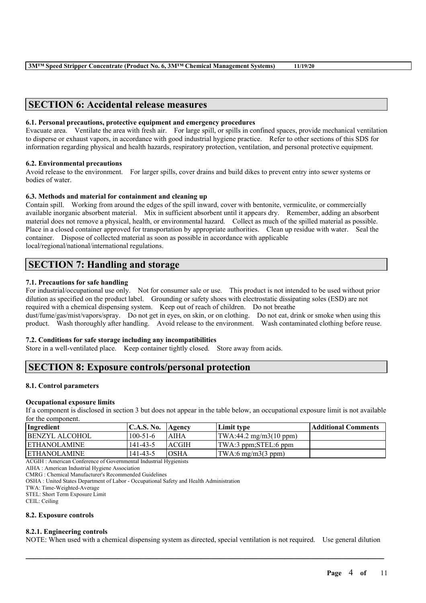# **SECTION 6: Accidental release measures**

### **6.1. Personal precautions, protective equipment and emergency procedures**

Evacuate area. Ventilate the area with fresh air. For large spill, or spills in confined spaces, provide mechanical ventilation to disperse or exhaust vapors, in accordance with good industrial hygiene practice. Refer to other sections of this SDS for information regarding physical and health hazards, respiratory protection, ventilation, and personal protective equipment.

### **6.2. Environmental precautions**

Avoid release to the environment. For larger spills, cover drains and build dikes to prevent entry into sewer systems or bodies of water.

### **6.3. Methods and material for containment and cleaning up**

Contain spill. Working from around the edges of the spill inward, cover with bentonite, vermiculite, or commercially available inorganic absorbent material. Mix in sufficient absorbent until it appears dry. Remember, adding an absorbent material does not remove a physical, health, or environmental hazard. Collect as much of the spilled material as possible. Place in a closed container approved for transportation by appropriate authorities. Clean up residue with water. Seal the container. Dispose of collected material as soon as possible in accordance with applicable local/regional/national/international regulations.

# **SECTION 7: Handling and storage**

### **7.1. Precautions for safe handling**

For industrial/occupational use only. Not for consumer sale or use. This product is not intended to be used without prior dilution as specified on the product label. Grounding or safety shoes with electrostatic dissipating soles (ESD) are not required with a chemical dispensing system. Keep out of reach of children. Do not breathe dust/fume/gas/mist/vapors/spray. Do not get in eyes, on skin, or on clothing. Do not eat, drink or smoke when using this product. Wash thoroughly after handling. Avoid release to the environment. Wash contaminated clothing before reuse.

### **7.2. Conditions for safe storage including any incompatibilities**

Store in a well-ventilated place. Keep container tightly closed. Store away from acids.

# **SECTION 8: Exposure controls/personal protection**

#### **8.1. Control parameters**

#### **Occupational exposure limits**

If a component is disclosed in section 3 but does not appear in the table below, an occupational exposure limit is not available for the component.

| Ingredient            | C.A.S. No.     | Agency       | Limit type                                      | <b>Additional Comments</b> |
|-----------------------|----------------|--------------|-------------------------------------------------|----------------------------|
| <b>BENZYL ALCOHOL</b> | $100 - 51 - 6$ | AIHA         | $\text{TWA}:44.2 \text{ mg/m3}(10 \text{ ppm})$ |                            |
| <b>LETHANOLAMINE</b>  | $141 - 43 - 5$ | <b>ACGIH</b> | TWA:3 ppm;STEL:6 ppm                            |                            |
| <b>IETHANOLAMINE</b>  | 141-43-5       | <b>OSHA</b>  | $\text{TWA:6 mg/m3}(3 \text{ ppm})$             |                            |

ACGIH : American Conference of Governmental Industrial Hygienists

AIHA : American Industrial Hygiene Association

CMRG : Chemical Manufacturer's Recommended Guidelines

OSHA : United States Department of Labor - Occupational Safety and Health Administration

TWA: Time-Weighted-Average

STEL: Short Term Exposure Limit

CEIL: Ceiling

### **8.2. Exposure controls**

### **8.2.1. Engineering controls**

NOTE: When used with a chemical dispensing system as directed, special ventilation is not required. Use general dilution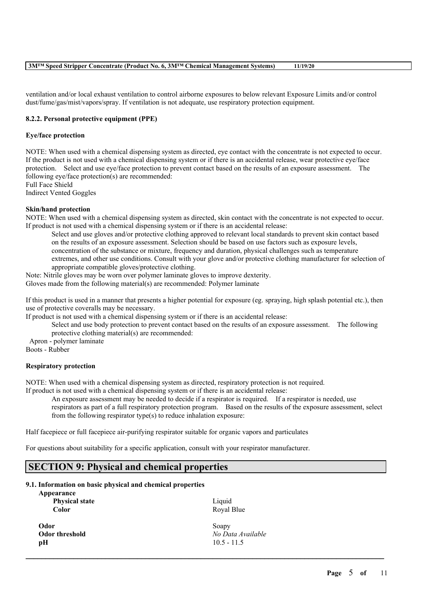| 3M™ Speed Stripper Concentrate (Product No. 6, 3M™ Chemical Management Systems)<br>11/19/20 |
|---------------------------------------------------------------------------------------------|
|---------------------------------------------------------------------------------------------|

ventilation and/or local exhaust ventilation to control airborne exposures to below relevant Exposure Limits and/or control dust/fume/gas/mist/vapors/spray. If ventilation is not adequate, use respiratory protection equipment.

### **8.2.2. Personal protective equipment (PPE)**

### **Eye/face protection**

NOTE: When used with a chemical dispensing system as directed, eye contact with the concentrate is not expected to occur. If the product is not used with a chemical dispensing system or if there is an accidental release, wear protective eye/face protection. Select and use eye/face protection to prevent contact based on the results of an exposure assessment. The following eye/face protection(s) are recommended:

Full Face Shield

Indirect Vented Goggles

### **Skin/hand protection**

NOTE: When used with a chemical dispensing system as directed, skin contact with the concentrate is not expected to occur. If product is not used with a chemical dispensing system or if there is an accidental release:

Select and use gloves and/or protective clothing approved to relevant local standards to prevent skin contact based on the results of an exposure assessment. Selection should be based on use factors such as exposure levels, concentration of the substance or mixture, frequency and duration, physical challenges such as temperature extremes, and other use conditions. Consult with your glove and/or protective clothing manufacturer for selection of appropriate compatible gloves/protective clothing.

Note: Nitrile gloves may be worn over polymer laminate gloves to improve dexterity. Gloves made from the following material(s) are recommended: Polymer laminate

If this product is used in a manner that presents a higher potential for exposure (eg. spraying, high splash potential etc.), then use of protective coveralls may be necessary.

If product is not used with a chemical dispensing system or if there is an accidental release:

Select and use body protection to prevent contact based on the results of an exposure assessment. The following protective clothing material(s) are recommended:

Apron - polymer laminate

Boots - Rubber

### **Respiratory protection**

NOTE: When used with a chemical dispensing system as directed, respiratory protection is not required.

If product is not used with a chemical dispensing system or if there is an accidental release:

An exposure assessment may be needed to decide if a respirator is required. If a respirator is needed, use respirators as part of a full respiratory protection program. Based on the results of the exposure assessment, select from the following respirator type(s) to reduce inhalation exposure:

 $\mathcal{L}_\mathcal{L} = \mathcal{L}_\mathcal{L} = \mathcal{L}_\mathcal{L} = \mathcal{L}_\mathcal{L} = \mathcal{L}_\mathcal{L} = \mathcal{L}_\mathcal{L} = \mathcal{L}_\mathcal{L} = \mathcal{L}_\mathcal{L} = \mathcal{L}_\mathcal{L} = \mathcal{L}_\mathcal{L} = \mathcal{L}_\mathcal{L} = \mathcal{L}_\mathcal{L} = \mathcal{L}_\mathcal{L} = \mathcal{L}_\mathcal{L} = \mathcal{L}_\mathcal{L} = \mathcal{L}_\mathcal{L} = \mathcal{L}_\mathcal{L}$ 

Half facepiece or full facepiece air-purifying respirator suitable for organic vapors and particulates

For questions about suitability for a specific application, consult with your respirator manufacturer.

# **SECTION 9: Physical and chemical properties**

### **9.1. Information on basic physical and chemical properties**

| Appearance<br><b>Physical state</b><br><b>Color</b> | Liquid<br>Royal Blue |
|-----------------------------------------------------|----------------------|
| Odor                                                | Soapy                |
| Odor threshold                                      | No Data Available    |
| pН                                                  | $10.5 - 11.5$        |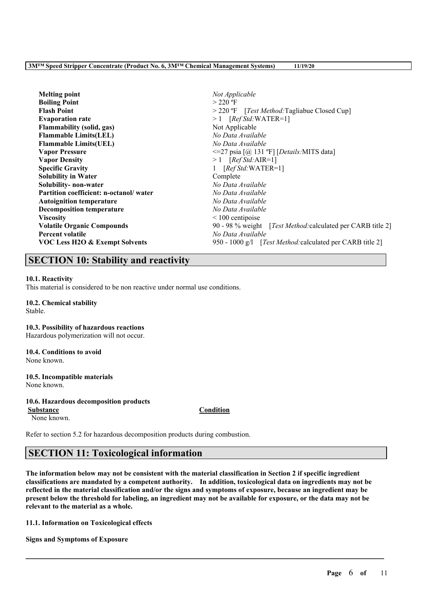**Melting point** *Not Applicable* **Boiling Point** > 220 °F **Flash Point** > 220 ºF [*Test Method:*Tagliabue Closed Cup] **Evaporation rate** > 1 [*Ref Std:*WATER=1] **Flammability (solid, gas)** Not Applicable **Flammable Limits(LEL)** *No Data Available* **Flammable Limits(UEL)** *No Data Available* **Vapor Pressure** <=27 psia [@ 131 ºF] [*Details:*MITS data] **Vapor Density** > 1 [*Ref Std:*AIR=1] **Specific Gravity** 1 [*Ref Std:*WATER=1] **Solubility in Water** Complete **Solubility- non-water** *No Data Available* **Partition coefficient: n-octanol/ water** *No Data Available* **Autoignition temperature** *No Data Available* **Decomposition temperature** *No Data Available* **Viscosity**  $\leq 100$  centipoise **Volatile Organic Compounds** 90 - 98 % weight [*Test Method:*calculated per CARB title 2] **Percent volatile** *No Data Available* **VOC Less H2O & Exempt Solvents** 950 - 1000 g/l [*Test Method:*calculated per CARB title 2]

# **SECTION 10: Stability and reactivity**

### **10.1. Reactivity**

This material is considered to be non reactive under normal use conditions.

# **10.2. Chemical stability**

Stable.

### **10.3. Possibility of hazardous reactions**

Hazardous polymerization will not occur.

# **10.4. Conditions to avoid**

None known.

#### **10.5. Incompatible materials** None known.

### **10.6. Hazardous decomposition products**

**Substance Condition**

None known.

Refer to section 5.2 for hazardous decomposition products during combustion.

# **SECTION 11: Toxicological information**

The information below may not be consistent with the material classification in Section 2 if specific ingredient **classifications are mandated by a competent authority. In addition, toxicological data on ingredients may not be** reflected in the material classification and/or the signs and symptoms of exposure, because an ingredient may be present below the threshold for labeling, an ingredient may not be available for exposure, or the data may not be **relevant to the material as a whole.**

 $\mathcal{L}_\mathcal{L} = \mathcal{L}_\mathcal{L} = \mathcal{L}_\mathcal{L} = \mathcal{L}_\mathcal{L} = \mathcal{L}_\mathcal{L} = \mathcal{L}_\mathcal{L} = \mathcal{L}_\mathcal{L} = \mathcal{L}_\mathcal{L} = \mathcal{L}_\mathcal{L} = \mathcal{L}_\mathcal{L} = \mathcal{L}_\mathcal{L} = \mathcal{L}_\mathcal{L} = \mathcal{L}_\mathcal{L} = \mathcal{L}_\mathcal{L} = \mathcal{L}_\mathcal{L} = \mathcal{L}_\mathcal{L} = \mathcal{L}_\mathcal{L}$ 

**11.1. Information on Toxicological effects**

**Signs and Symptoms of Exposure**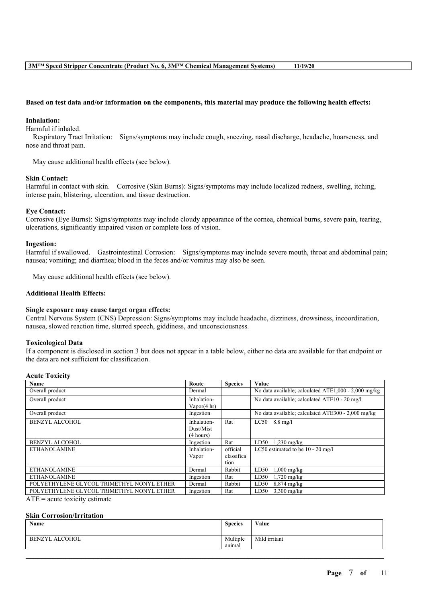#### Based on test data and/or information on the components, this material may produce the following health effects:

#### **Inhalation:**

Harmful if inhaled.

Respiratory Tract Irritation: Signs/symptoms may include cough, sneezing, nasal discharge, headache, hoarseness, and nose and throat pain.

May cause additional health effects (see below).

#### **Skin Contact:**

Harmful in contact with skin. Corrosive (Skin Burns): Signs/symptoms may include localized redness, swelling, itching, intense pain, blistering, ulceration, and tissue destruction.

#### **Eye Contact:**

Corrosive (Eye Burns): Signs/symptoms may include cloudy appearance of the cornea, chemical burns, severe pain, tearing, ulcerations, significantly impaired vision or complete loss of vision.

#### **Ingestion:**

Harmful if swallowed. Gastrointestinal Corrosion: Signs/symptoms may include severe mouth, throat and abdominal pain; nausea; vomiting; and diarrhea; blood in the feces and/or vomitus may also be seen.

May cause additional health effects (see below).

### **Additional Health Effects:**

#### **Single exposure may cause target organ effects:**

Central Nervous System (CNS) Depression: Signs/symptoms may include headache, dizziness, drowsiness, incoordination, nausea, slowed reaction time, slurred speech, giddiness, and unconsciousness.

#### **Toxicological Data**

If a component is disclosed in section 3 but does not appear in a table below, either no data are available for that endpoint or the data are not sufficient for classification.

#### **Acute Toxicity**

| Name                                      | Route                  | <b>Species</b> | Value                                                |
|-------------------------------------------|------------------------|----------------|------------------------------------------------------|
| Overall product                           | Dermal                 |                | No data available; calculated ATE1,000 - 2,000 mg/kg |
| Overall product                           | Inhalation-            |                | No data available; calculated ATE10 - 20 mg/l        |
|                                           | Vapor $(4 \text{ hr})$ |                |                                                      |
| Overall product                           | Ingestion              |                | No data available; calculated ATE300 - 2,000 mg/kg   |
| <b>BENZYL ALCOHOL</b>                     | Inhalation-            | Rat            | $LC50$ 8.8 mg/l                                      |
|                                           | Dust/Mist              |                |                                                      |
|                                           | (4 hours)              |                |                                                      |
| <b>BENZYL ALCOHOL</b>                     | Ingestion              | Rat            | $1,230$ mg/kg<br>LD50                                |
| <b>ETHANOLAMINE</b>                       | Inhalation-            | official       | LC50 estimated to be 10 - 20 mg/l                    |
|                                           | Vapor                  | classifica     |                                                      |
|                                           |                        | tion           |                                                      |
| <b>ETHANOLAMINE</b>                       | Dermal                 | Rabbit         | LD50<br>$1,000$ mg/kg                                |
| <b>ETHANOLAMINE</b>                       | Ingestion              | Rat            | LD50<br>$1,720$ mg/kg                                |
| POLYETHYLENE GLYCOL TRIMETHYL NONYL ETHER | Dermal                 | Rabbit         | LD50<br>$8,874 \text{ mg/kg}$                        |
| POLYETHYLENE GLYCOL TRIMETHYL NONYL ETHER | Ingestion              | Rat            | $3,300$ mg/kg<br>LD50                                |

 $ATE = acute$  toxicity estimate

#### **Skin Corrosion/Irritation**

| Name                            | <b>Species</b>     | Value         |
|---------------------------------|--------------------|---------------|
| <b>ALCOHOL</b><br><b>BENZYL</b> | Multiple<br>anımal | Mild irritant |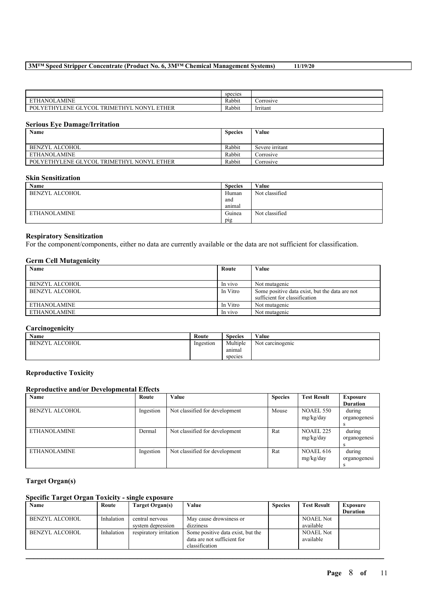|                                                                                  | species |           |
|----------------------------------------------------------------------------------|---------|-----------|
| THANOLAMINE<br><b>DID</b>                                                        | Rabbit  | Corrosive |
| ∟YETHY'<br>LENE GLYCOL<br>ETHYI<br>THER<br><b>TRIME's</b><br><b>NONYI</b><br>POL | Rabbit  | Irritant  |

### **Serious Eye Damage/Irritation**

| Name                                      | <b>Species</b> | Value           |
|-------------------------------------------|----------------|-----------------|
|                                           |                |                 |
| BENZYL ALCOHOL                            | Rabbit         | Severe irritant |
| ETHANOLAMINE                              | Rabbit         | Corrosive       |
| POLYETHYLENE GLYCOL TRIMETHYL NONYL ETHER | Rabbit         | Corrosive       |

### **Skin Sensitization**

| Name                | <b>Species</b> | Value          |
|---------------------|----------------|----------------|
| BENZYL ALCOHOL      | Human          | Not classified |
|                     | and            |                |
|                     | anımal         |                |
| <b>ETHANOLAMINE</b> | Guinea         | Not classified |
|                     | pig            |                |

### **Respiratory Sensitization**

For the component/components, either no data are currently available or the data are not sufficient for classification.

### **Germ Cell Mutagenicity**

| Name                | Route    | Value                                          |
|---------------------|----------|------------------------------------------------|
|                     |          |                                                |
| BENZYL ALCOHOL      | In vivo  | Not mutagenic                                  |
| BENZYL ALCOHOL      | In Vitro | Some positive data exist, but the data are not |
|                     |          | sufficient for classification                  |
| <b>ETHANOLAMINE</b> | In Vitro | Not mutagenic                                  |
| <b>ETHANOLAMINE</b> | In vivo  | Not mutagenic                                  |

### **Carcinogenicity**

| <b>Name</b>    | Route     | <b>Species</b> | Value            |
|----------------|-----------|----------------|------------------|
| BENZYL ALCOHOL | Ingestion | Multiple       | Not carcinogenic |
|                |           | anımal         |                  |
|                |           | species        |                  |

### **Reproductive Toxicity**

# **Reproductive and/or Developmental Effects**

| Name                  | Route     | Value                          | <b>Species</b> | <b>Test Result</b> | Exposure        |
|-----------------------|-----------|--------------------------------|----------------|--------------------|-----------------|
|                       |           |                                |                |                    | <b>Duration</b> |
| <b>BENZYL ALCOHOL</b> | Ingestion | Not classified for development | Mouse          | <b>NOAEL 550</b>   | during          |
|                       |           |                                |                | mg/kg/day          | organogenesi    |
|                       |           |                                |                |                    |                 |
| <b>ETHANOLAMINE</b>   | Dermal    | Not classified for development | Rat            | <b>NOAEL 225</b>   | during          |
|                       |           |                                |                | mg/kg/day          | organogenesi    |
|                       |           |                                |                |                    |                 |
| <b>ETHANOLAMINE</b>   | Ingestion | Not classified for development | Rat            | <b>NOAEL 616</b>   | during          |
|                       |           |                                |                | mg/kg/day          | organogenesi    |
|                       |           |                                |                |                    |                 |

## **Target Organ(s)**

# **Specific Target Organ Toxicity - single exposure**

| Name                  | Route      | Target Organ(s)        | Value                             | <b>Species</b> | <b>Test Result</b> | <b>Exposure</b> |
|-----------------------|------------|------------------------|-----------------------------------|----------------|--------------------|-----------------|
|                       |            |                        |                                   |                |                    | <b>Duration</b> |
| <b>BENZYL ALCOHOL</b> | Inhalation | central nervous        | May cause drowsiness or           |                | <b>NOAEL Not</b>   |                 |
|                       |            | system depression      | dizziness                         |                | available          |                 |
| <b>BENZYL ALCOHOL</b> | Inhalation | respiratory irritation | Some positive data exist, but the |                | <b>NOAEL Not</b>   |                 |
|                       |            |                        | data are not sufficient for       |                | available          |                 |
|                       |            |                        | classification                    |                |                    |                 |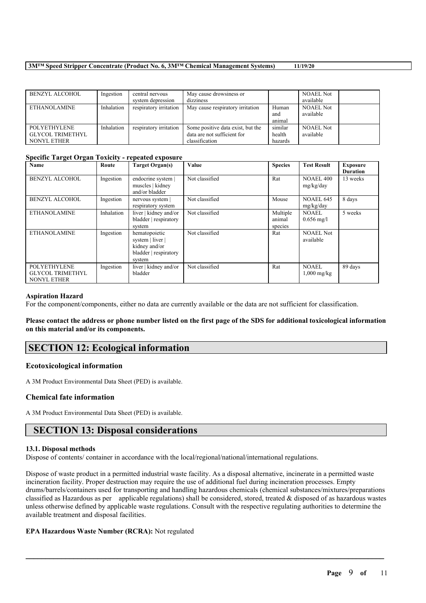| <b>BENZYL ALCOHOL</b> | Ingestion  | central nervous        | May cause drowsiness or           |         | <b>NOAEL Not</b> |  |
|-----------------------|------------|------------------------|-----------------------------------|---------|------------------|--|
|                       |            | system depression      | dizziness                         |         | available        |  |
| <b>ETHANOLAMINE</b>   | Inhalation | respiratory irritation | May cause respiratory irritation  | Human   | <b>NOAEL Not</b> |  |
|                       |            |                        |                                   | and     | available        |  |
|                       |            |                        |                                   | animal  |                  |  |
| <b>POLYETHYLENE</b>   | Inhalation | respiratory irritation | Some positive data exist, but the | similar | <b>NOAEL Not</b> |  |
| GLYCOL TRIMETHYL      |            |                        | data are not sufficient for       | health  | available        |  |
| NONYL ETHER           |            |                        | classification                    | hazards |                  |  |

# **Specific Target Organ Toxicity - repeated exposure**

| Name                                                                 | Route      | <b>Target Organ(s)</b>                                                                | Value          | <b>Species</b>                | <b>Test Result</b>            | <b>Exposure</b><br><b>Duration</b> |
|----------------------------------------------------------------------|------------|---------------------------------------------------------------------------------------|----------------|-------------------------------|-------------------------------|------------------------------------|
| <b>BENZYL ALCOHOL</b>                                                | Ingestion  | endocrine system  <br>muscles   kidney<br>and/or bladder                              | Not classified | Rat                           | <b>NOAEL 400</b><br>mg/kg/day | 13 weeks                           |
| <b>BENZYL ALCOHOL</b>                                                | Ingestion  | nervous system<br>respiratory system                                                  | Not classified | Mouse                         | <b>NOAEL 645</b><br>mg/kg/day | 8 days                             |
| <b>ETHANOLAMINE</b>                                                  | Inhalation | liver   kidney and/or<br>bladder   respiratory<br>system                              | Not classified | Multiple<br>animal<br>species | <b>NOAEL</b><br>$0.656$ mg/l  | 5 weeks                            |
| <b>ETHANOLAMINE</b>                                                  | Ingestion  | hematopoietic<br>system   liver  <br>kidney and/or<br>bladder   respiratory<br>system | Not classified | Rat                           | <b>NOAEL Not</b><br>available |                                    |
| <b>POLYETHYLENE</b><br><b>GLYCOL TRIMETHYL</b><br><b>NONYL ETHER</b> | Ingestion  | liver   kidney and/or<br>bladder                                                      | Not classified | Rat                           | <b>NOAEL</b><br>$1,000$ mg/kg | 89 days                            |

### **Aspiration Hazard**

For the component/components, either no data are currently available or the data are not sufficient for classification.

### Please contact the address or phone number listed on the first page of the SDS for additional toxicological information **on this material and/or its components.**

# **SECTION 12: Ecological information**

### **Ecotoxicological information**

A 3M Product Environmental Data Sheet (PED) is available.

### **Chemical fate information**

A 3M Product Environmental Data Sheet (PED) is available.

# **SECTION 13: Disposal considerations**

### **13.1. Disposal methods**

Dispose of contents/ container in accordance with the local/regional/national/international regulations.

Dispose of waste product in a permitted industrial waste facility. As a disposal alternative, incinerate in a permitted waste incineration facility. Proper destruction may require the use of additional fuel during incineration processes. Empty drums/barrels/containers used for transporting and handling hazardous chemicals (chemical substances/mixtures/preparations classified as Hazardous as per applicable regulations) shall be considered, stored, treated & disposed of as hazardous wastes unless otherwise defined by applicable waste regulations. Consult with the respective regulating authorities to determine the available treatment and disposal facilities.

 $\mathcal{L}_\mathcal{L} = \mathcal{L}_\mathcal{L} = \mathcal{L}_\mathcal{L} = \mathcal{L}_\mathcal{L} = \mathcal{L}_\mathcal{L} = \mathcal{L}_\mathcal{L} = \mathcal{L}_\mathcal{L} = \mathcal{L}_\mathcal{L} = \mathcal{L}_\mathcal{L} = \mathcal{L}_\mathcal{L} = \mathcal{L}_\mathcal{L} = \mathcal{L}_\mathcal{L} = \mathcal{L}_\mathcal{L} = \mathcal{L}_\mathcal{L} = \mathcal{L}_\mathcal{L} = \mathcal{L}_\mathcal{L} = \mathcal{L}_\mathcal{L}$ 

### **EPA Hazardous Waste Number (RCRA):** Not regulated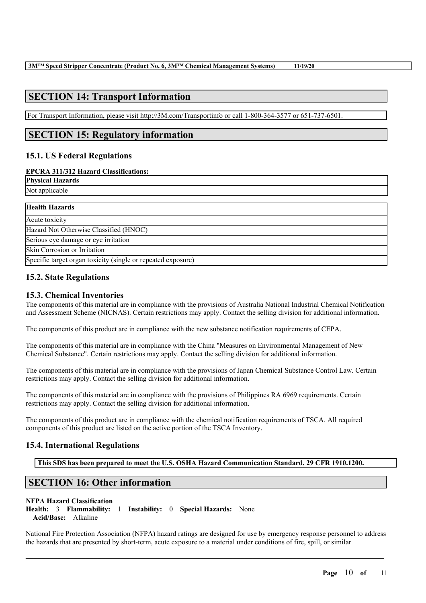# **SECTION 14: Transport Information**

For Transport Information, please visit http://3M.com/Transportinfo or call 1-800-364-3577 or 651-737-6501.

# **SECTION 15: Regulatory information**

# **15.1. US Federal Regulations**

### **EPCRA 311/312 Hazard Classifications:**

**Physical Hazards** Not applicable

| <b>Health Hazards</b>                                        |  |
|--------------------------------------------------------------|--|
| Acute toxicity                                               |  |
| Hazard Not Otherwise Classified (HNOC)                       |  |
| Serious eye damage or eye irritation                         |  |
| Skin Corrosion or Irritation                                 |  |
| Specific target organ toxicity (single or repeated exposure) |  |

# **15.2. State Regulations**

# **15.3. Chemical Inventories**

The components of this material are in compliance with the provisions of Australia National Industrial Chemical Notification and Assessment Scheme (NICNAS). Certain restrictions may apply. Contact the selling division for additional information.

The components of this product are in compliance with the new substance notification requirements of CEPA.

The components of this material are in compliance with the China "Measures on Environmental Management of New Chemical Substance". Certain restrictions may apply. Contact the selling division for additional information.

The components of this material are in compliance with the provisions of Japan Chemical Substance Control Law. Certain restrictions may apply. Contact the selling division for additional information.

The components of this material are in compliance with the provisions of Philippines RA 6969 requirements. Certain restrictions may apply. Contact the selling division for additional information.

The components of this product are in compliance with the chemical notification requirements of TSCA. All required components of this product are listed on the active portion of the TSCA Inventory.

# **15.4. International Regulations**

**This SDS has been prepared to meet the U.S. OSHA Hazard Communication Standard, 29 CFR 1910.1200.**

# **SECTION 16: Other information**

### **NFPA Hazard Classification**

**Health:** 3 **Flammability:** 1 **Instability:** 0 **Special Hazards:** None **Acid/Base:** Alkaline

National Fire Protection Association (NFPA) hazard ratings are designed for use by emergency response personnel to address the hazards that are presented by short-term, acute exposure to a material under conditions of fire, spill, or similar